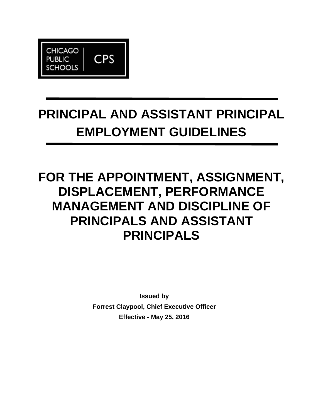

# **PRINCIPAL AND ASSISTANT PRINCIPAL EMPLOYMENT GUIDELINES**

# **FOR THE APPOINTMENT, ASSIGNMENT, DISPLACEMENT, PERFORMANCE MANAGEMENT AND DISCIPLINE OF PRINCIPALS AND ASSISTANT PRINCIPALS**

**Issued by Forrest Claypool, Chief Executive Officer Effective - May 25, 2016**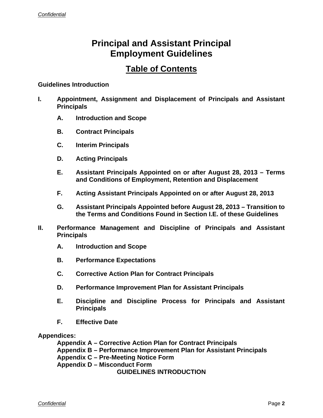# **Principal and Assistant Principal Employment Guidelines**

## **Table of Contents**

#### **Guidelines Introduction**

- **I. Appointment, Assignment and Displacement of Principals and Assistant Principals** 
	- **A. Introduction and Scope**
	- **B. Contract Principals**
	- **C. Interim Principals**
	- **D. Acting Principals**
	- **E. Assistant Principals Appointed on or after August 28, 2013 Terms and Conditions of Employment, Retention and Displacement**
	- **F. Acting Assistant Principals Appointed on or after August 28, 2013**
	- **G. Assistant Principals Appointed before August 28, 2013 Transition to the Terms and Conditions Found in Section I.E. of these Guidelines**
- **II. Performance Management and Discipline of Principals and Assistant Principals** 
	- **A. Introduction and Scope**
	- **B. Performance Expectations**
	- **C. Corrective Action Plan for Contract Principals**
	- **D. Performance Improvement Plan for Assistant Principals**
	- **E. Discipline and Discipline Process for Principals and Assistant Principals**
	- **F. Effective Date**

**Appendices:**

 **Appendix A – Corrective Action Plan for Contract Principals Appendix B – Performance Improvement Plan for Assistant Principals Appendix C – Pre-Meeting Notice Form Appendix D – Misconduct Form GUIDELINES INTRODUCTION**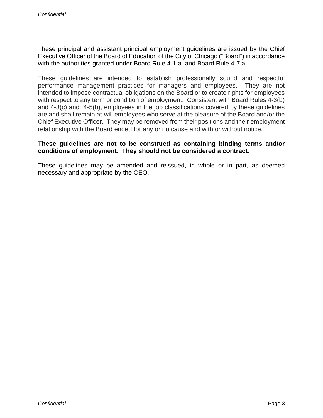These principal and assistant principal employment guidelines are issued by the Chief Executive Officer of the Board of Education of the City of Chicago ("Board") in accordance with the authorities granted under Board Rule 4-1.a. and Board Rule 4-7.a.

These guidelines are intended to establish professionally sound and respectful performance management practices for managers and employees. They are not intended to impose contractual obligations on the Board or to create rights for employees with respect to any term or condition of employment. Consistent with Board Rules 4-3(b) and 4-3(c) and 4-5(b), employees in the job classifications covered by these guidelines are and shall remain at-will employees who serve at the pleasure of the Board and/or the Chief Executive Officer. They may be removed from their positions and their employment relationship with the Board ended for any or no cause and with or without notice.

#### **These guidelines are not to be construed as containing binding terms and/or conditions of employment. They should not be considered a contract.**

These guidelines may be amended and reissued, in whole or in part, as deemed necessary and appropriate by the CEO.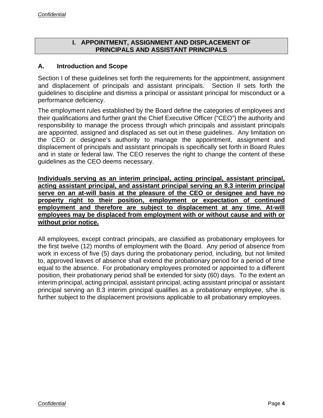#### **I. APPOINTMENT, ASSIGNMENT AND DISPLACEMENT OF PRINCIPALS AND ASSISTANT PRINCIPALS**

#### **A. Introduction and Scope**

Section I of these guidelines set forth the requirements for the appointment, assignment and displacement of principals and assistant principals. Section II sets forth the guidelines to discipline and dismiss a principal or assistant principal for misconduct or a performance deficiency.

The employment rules established by the Board define the categories of employees and their qualifications and further grant the Chief Executive Officer ("CEO") the authority and responsibility to manage the process through which principals and assistant principals are appointed, assigned and displaced as set out in these guidelines. Any limitation on the CEO or designee's authority to manage the appointment, assignment and displacement of principals and assistant principals is specifically set forth in Board Rules and in state or federal law. The CEO reserves the right to change the content of these guidelines as the CEO deems necessary.

**Individuals serving as an interim principal, acting principal, assistant principal, acting assistant principal, and assistant principal serving an 8.3 interim principal serve on an at-will basis at the pleasure of the CEO or designee and have no property right to their position, employment or expectation of continued employment and therefore are subject to displacement at any time. At-will employees may be displaced from employment with or without cause and with or without prior notice.** 

All employees, except contract principals, are classified as probationary employees for the first twelve (12) months of employment with the Board. Any period of absence from work in excess of five (5) days during the probationary period, including, but not limited to, approved leaves of absence shall extend the probationary period for a period of time equal to the absence. For probationary employees promoted or appointed to a different position, their probationary period shall be extended for sixty (60) days. To the extent an interim principal, acting principal, assistant principal, acting assistant principal or assistant principal serving an 8.3 interim principal qualifies as a probationary employee, s/he is further subject to the displacement provisions applicable to all probationary employees.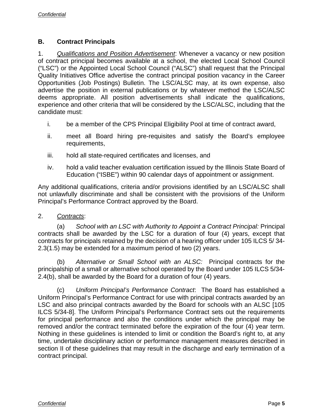#### **B. Contract Principals**

1. *Qualifications and Position Advertisement*: Whenever a vacancy or new position of contract principal becomes available at a school, the elected Local School Council ("LSC") or the Appointed Local School Council ("ALSC") shall request that the Principal Quality Initiatives Office advertise the contract principal position vacancy in the Career Opportunities (Job Postings) Bulletin. The LSC/ALSC may, at its own expense, also advertise the position in external publications or by whatever method the LSC/ALSC deems appropriate. All position advertisements shall indicate the qualifications, experience and other criteria that will be considered by the LSC/ALSC, including that the candidate must:

- i. be a member of the CPS Principal Eligibility Pool at time of contract award,
- ii. meet all Board hiring pre-requisites and satisfy the Board's employee requirements,
- iii. hold all state-required certificates and licenses, and
- iv. hold a valid teacher evaluation certification issued by the Illinois State Board of Education ("ISBE") within 90 calendar days of appointment or assignment.

Any additional qualifications, criteria and/or provisions identified by an LSC/ALSC shall not unlawfully discriminate and shall be consistent with the provisions of the Uniform Principal's Performance Contract approved by the Board.

#### 2. *Contracts*:

(a) *School with an LSC with Authority to Appoint a Contract Principal:* Principal contracts shall be awarded by the LSC for a duration of four (4) years, except that contracts for principals retained by the decision of a hearing officer under 105 ILCS 5/ 34- 2.3(1.5) may be extended for a maximum period of two (2) years.

(b) *Alternative or Small School with an ALSC:* Principal contracts for the principalship of a small or alternative school operated by the Board under 105 ILCS 5/34- 2.4(b), shall be awarded by the Board for a duration of four (4) years.

(c) *Uniform Principal's Performance Contract*: The Board has established a Uniform Principal's Performance Contract for use with principal contracts awarded by an LSC and also principal contracts awarded by the Board for schools with an ALSC [105 ILCS 5/34-8]. The Uniform Principal's Performance Contract sets out the requirements for principal performance and also the conditions under which the principal may be removed and/or the contract terminated before the expiration of the four (4) year term. Nothing in these guidelines is intended to limit or condition the Board's right to, at any time, undertake disciplinary action or performance management measures described in section II of these guidelines that may result in the discharge and early termination of a contract principal.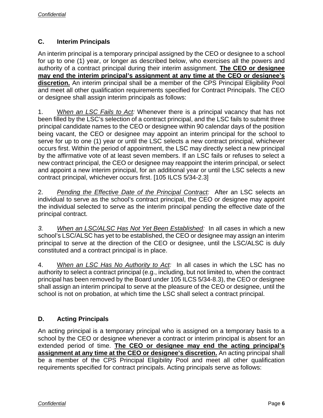#### **C. Interim Principals**

An interim principal is a temporary principal assigned by the CEO or designee to a school for up to one (1) year, or longer as described below, who exercises all the powers and authority of a contract principal during their interim assignment. **The CEO or designee may end the interim principal's assignment at any time at the CEO or designee's discretion.** An interim principal shall be a member of the CPS Principal Eligibility Pool and meet all other qualification requirements specified for Contract Principals. The CEO or designee shall assign interim principals as follows:

1. W*hen an LSC Fails to Act:* Whenever there is a principal vacancy that has not been filled by the LSC's selection of a contract principal, and the LSC fails to submit three principal candidate names to the CEO or designee within 90 calendar days of the position being vacant, the CEO or designee may appoint an interim principal for the school to serve for up to one (1) year or until the LSC selects a new contract principal, whichever occurs first. Within the period of appointment, the LSC may directly select a new principal by the affirmative vote of at least seven members. If an LSC fails or refuses to select a new contract principal, the CEO or designee may reappoint the interim principal, or select and appoint a new interim principal, for an additional year or until the LSC selects a new contract principal, whichever occurs first. [105 ILCS 5/34-2.3]

2. *Pending the Effective Date of the Principal Contract:* After an LSC selects an individual to serve as the school's contract principal, the CEO or designee may appoint the individual selected to serve as the interim principal pending the effective date of the principal contract.

*3. When an LSC/ALSC Has Not Yet Been Established:* In all cases in which a new school's LSC/ALSC has yet to be established, the CEO or designee may assign an interim principal to serve at the direction of the CEO or designee, until the LSC/ALSC is duly constituted and a contract principal is in place.

4. W*hen an LSC Has No Authority to Act:* In all cases in which the LSC has no authority to select a contract principal (e.g., including, but not limited to, when the contract principal has been removed by the Board under 105 ILCS 5/34-8.3), the CEO or designee shall assign an interim principal to serve at the pleasure of the CEO or designee, until the school is not on probation, at which time the LSC shall select a contract principal.

### **D. Acting Principals**

An acting principal is a temporary principal who is assigned on a temporary basis to a school by the CEO or designee whenever a contract or interim principal is absent for an extended period of time. **The CEO or designee may end the acting principal's assignment at any time at the CEO or designee's discretion.** An acting principal shall be a member of the CPS Principal Eligibility Pool and meet all other qualification requirements specified for contract principals. Acting principals serve as follows: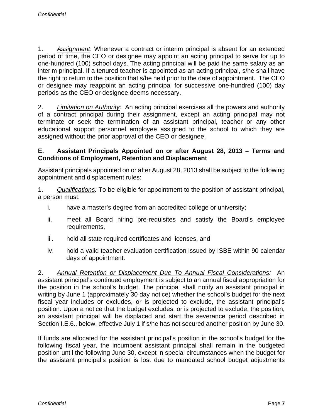1. *Assignment*: Whenever a contract or interim principal is absent for an extended period of time, the CEO or designee may appoint an acting principal to serve for up to one-hundred (100) school days. The acting principal will be paid the same salary as an interim principal. If a tenured teacher is appointed as an acting principal, s/he shall have the right to return to the position that s/he held prior to the date of appointment. The CEO or designee may reappoint an acting principal for successive one-hundred (100) day periods as the CEO or designee deems necessary.

2. *Limitation on Authority:* An acting principal exercises all the powers and authority of a contract principal during their assignment, except an acting principal may not terminate or seek the termination of an assistant principal, teacher or any other educational support personnel employee assigned to the school to which they are assigned without the prior approval of the CEO or designee.

#### **E. Assistant Principals Appointed on or after August 28, 2013 – Terms and Conditions of Employment, Retention and Displacement**

Assistant principals appointed on or after August 28, 2013 shall be subject to the following appointment and displacement rules:

1. *Qualifications:* To be eligible for appointment to the position of assistant principal, a person must:

- i. have a master's degree from an accredited college or university;
- ii. meet all Board hiring pre-requisites and satisfy the Board's employee requirements,
- iii. hold all state-required certificates and licenses, and
- iv. hold a valid teacher evaluation certification issued by ISBE within 90 calendar days of appointment.

2. *Annual Retention or Displacement Due To Annual Fiscal Considerations:* An assistant principal's continued employment is subject to an annual fiscal appropriation for the position in the school's budget. The principal shall notify an assistant principal in writing by June 1 (approximately 30 day notice) whether the school's budget for the next fiscal year includes or excludes, or is projected to exclude, the assistant principal's position. Upon a notice that the budget excludes, or is projected to exclude, the position, an assistant principal will be displaced and start the severance period described in Section I.E.6., below, effective July 1 if s/he has not secured another position by June 30.

If funds are allocated for the assistant principal's position in the school's budget for the following fiscal year, the incumbent assistant principal shall remain in the budgeted position until the following June 30, except in special circumstances when the budget for the assistant principal's position is lost due to mandated school budget adjustments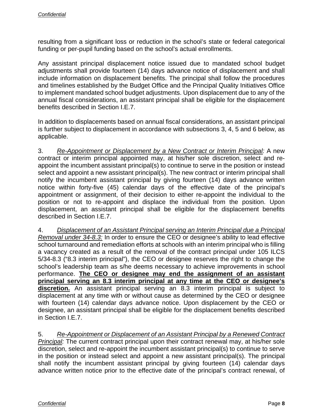resulting from a significant loss or reduction in the school's state or federal categorical funding or per-pupil funding based on the school's actual enrollments.

Any assistant principal displacement notice issued due to mandated school budget adjustments shall provide fourteen (14) days advance notice of displacement and shall include information on displacement benefits. The principal shall follow the procedures and timelines established by the Budget Office and the Principal Quality Initiatives Office to implement mandated school budget adjustments. Upon displacement due to any of the annual fiscal considerations, an assistant principal shall be eligible for the displacement benefits described in Section I.E.7.

In addition to displacements based on annual fiscal considerations, an assistant principal is further subject to displacement in accordance with subsections 3, 4, 5 and 6 below, as applicable.

3. *Re-Appointment or Displacement by a New Contract or Interim Principal:* A new contract or interim principal appointed may, at his/her sole discretion, select and reappoint the incumbent assistant principal(s) to continue to serve in the position or instead select and appoint a new assistant principal(s). The new contract or interim principal shall notify the incumbent assistant principal by giving fourteen (14) days advance written notice within forty-five (45) calendar days of the effective date of the principal's appointment or assignment, of their decision to either re-appoint the individual to the position or not to re-appoint and displace the individual from the position. Upon displacement, an assistant principal shall be eligible for the displacement benefits described in Section I.E.7.

4. *Displacement of an Assistant Principal serving an Interim Principal due a Principal Removal under 34-8.3:* In order to ensure the CEO or designee's ability to lead effective school turnaround and remediation efforts at schools with an interim principal who is filling a vacancy created as a result of the removal of the contract principal under 105 ILCS 5/34-8.3 ("8.3 interim principal"), the CEO or designee reserves the right to change the school's leadership team as s/he deems necessary to achieve improvements in school performance. **The CEO or designee may end the assignment of an assistant principal serving an 8.3 interim principal at any time at the CEO or designee's discretion.** An assistant principal serving an 8.3 interim principal is subject to displacement at any time with or without cause as determined by the CEO or designee with fourteen (14) calendar days advance notice. Upon displacement by the CEO or designee, an assistant principal shall be eligible for the displacement benefits described in Section I.E.7.

5. *Re-Appointment or Displacement of an Assistant Principal by a Renewed Contract Principal:* The current contract principal upon their contract renewal may, at his/her sole discretion, select and re-appoint the incumbent assistant principal(s) to continue to serve in the position or instead select and appoint a new assistant principal(s). The principal shall notify the incumbent assistant principal by giving fourteen (14) calendar days advance written notice prior to the effective date of the principal's contract renewal, of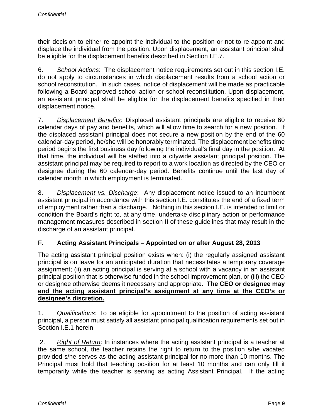their decision to either re-appoint the individual to the position or not to re-appoint and displace the individual from the position. Upon displacement, an assistant principal shall be eligible for the displacement benefits described in Section I.E.7.

6. *School Actions*: The displacement notice requirements set out in this section I.E. do not apply to circumstances in which displacement results from a school action or school reconstitution. In such cases, notice of displacement will be made as practicable following a Board-approved school action or school reconstitution. Upon displacement, an assistant principal shall be eligible for the displacement benefits specified in their displacement notice.

7. *Displacement Benefits*: Displaced assistant principals are eligible to receive 60 calendar days of pay and benefits, which will allow time to search for a new position. If the displaced assistant principal does not secure a new position by the end of the 60 calendar-day period, he/she will be honorably terminated. The displacement benefits time period begins the first business day following the individual's final day in the position. At that time, the individual will be staffed into a citywide assistant principal position. The assistant principal may be required to report to a work location as directed by the CEO or designee during the 60 calendar-day period. Benefits continue until the last day of calendar month in which employment is terminated.

8. *Displacement vs. Discharge*: Any displacement notice issued to an incumbent assistant principal in accordance with this section I.E. constitutes the end of a fixed term of employment rather than a discharge. Nothing in this section I.E. is intended to limit or condition the Board's right to, at any time, undertake disciplinary action or performance management measures described in section II of these guidelines that may result in the discharge of an assistant principal.

## **F. Acting Assistant Principals – Appointed on or after August 28, 2013**

The acting assistant principal position exists when: (i) the regularly assigned assistant principal is on leave for an anticipated duration that necessitates a temporary coverage assignment; (ii) an acting principal is serving at a school with a vacancy in an assistant principal position that is otherwise funded in the school improvement plan, or (iii) the CEO or designee otherwise deems it necessary and appropriate. **The CEO or designee may end the acting assistant principal's assignment at any time at the CEO's or designee's discretion.** 

1. *Qualifications*: To be eligible for appointment to the position of acting assistant principal, a person must satisfy all assistant principal qualification requirements set out in Section I.E.1 herein

 2. *Right of Return*: In instances where the acting assistant principal is a teacher at the same school, the teacher retains the right to return to the position s/he vacated provided s/he serves as the acting assistant principal for no more than 10 months. The Principal must hold that teaching position for at least 10 months and can only fill it temporarily while the teacher is serving as acting Assistant Principal. If the acting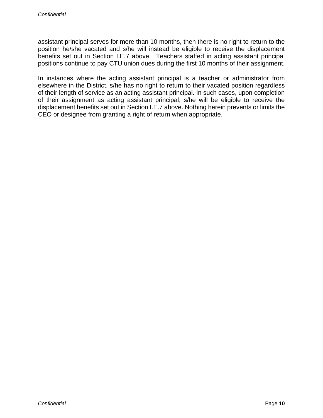assistant principal serves for more than 10 months, then there is no right to return to the position he/she vacated and s/he will instead be eligible to receive the displacement benefits set out in Section I.E.7 above. Teachers staffed in acting assistant principal positions continue to pay CTU union dues during the first 10 months of their assignment.

In instances where the acting assistant principal is a teacher or administrator from elsewhere in the District, s/he has no right to return to their vacated position regardless of their length of service as an acting assistant principal. In such cases, upon completion of their assignment as acting assistant principal, s/he will be eligible to receive the displacement benefits set out in Section I.E.7 above. Nothing herein prevents or limits the CEO or designee from granting a right of return when appropriate.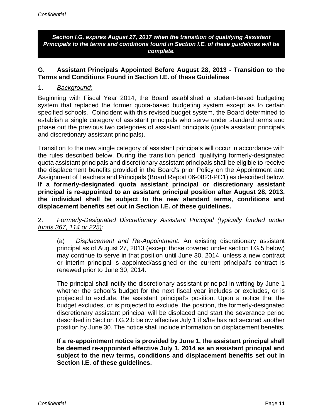*Section I.G. expires August 27, 2017 when the transition of qualifying Assistant Principals to the terms and conditions found in Section I.E. of these guidelines will be complete.* 

#### **G. Assistant Principals Appointed Before August 28, 2013 - Transition to the Terms and Conditions Found in Section I.E. of these Guidelines**

#### 1. *Background:*

Beginning with Fiscal Year 2014, the Board established a student-based budgeting system that replaced the former quota-based budgeting system except as to certain specified schools. Coincident with this revised budget system, the Board determined to establish a single category of assistant principals who serve under standard terms and phase out the previous two categories of assistant principals (quota assistant principals and discretionary assistant principals).

Transition to the new single category of assistant principals will occur in accordance with the rules described below. During the transition period, qualifying formerly-designated quota assistant principals and discretionary assistant principals shall be eligible to receive the displacement benefits provided in the Board's prior Policy on the Appointment and Assignment of Teachers and Principals (Board Report 06-0823-PO1) as described below. **If a formerly-designated quota assistant principal or discretionary assistant principal is re-appointed to an assistant principal position after August 28, 2013, the individual shall be subject to the new standard terms, conditions and displacement benefits set out in Section I.E. of these guidelines.**

#### 2. *Formerly-Designated Discretionary Assistant Principal (typically funded under funds 367, 114 or 225):*

(a) *Displacement and Re-Appointment:* An existing discretionary assistant principal as of August 27, 2013 (except those covered under section I.G.5 below) may continue to serve in that position until June 30, 2014, unless a new contract or interim principal is appointed/assigned or the current principal's contract is renewed prior to June 30, 2014.

The principal shall notify the discretionary assistant principal in writing by June 1 whether the school's budget for the next fiscal year includes or excludes, or is projected to exclude, the assistant principal's position. Upon a notice that the budget excludes, or is projected to exclude, the position, the formerly-designated discretionary assistant principal will be displaced and start the severance period described in Section I.G.2.b below effective July 1 if s/he has not secured another position by June 30. The notice shall include information on displacement benefits.

**If a re-appointment notice is provided by June 1, the assistant principal shall be deemed re-appointed effective July 1, 2014 as an assistant principal and subject to the new terms, conditions and displacement benefits set out in Section I.E. of these guidelines.**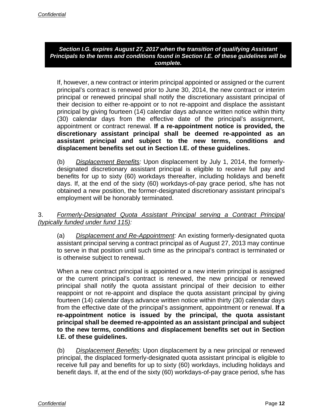#### *Section I.G. expires August 27, 2017 when the transition of qualifying Assistant Principals to the terms and conditions found in Section I.E. of these guidelines will be complete.*

If, however, a new contract or interim principal appointed or assigned or the current principal's contract is renewed prior to June 30, 2014, the new contract or interim principal or renewed principal shall notify the discretionary assistant principal of their decision to either re-appoint or to not re-appoint and displace the assistant principal by giving fourteen (14) calendar days advance written notice within thirty (30) calendar days from the effective date of the principal's assignment, appointment or contract renewal. **If a re-appointment notice is provided, the discretionary assistant principal shall be deemed re-appointed as an assistant principal and subject to the new terms, conditions and displacement benefits set out in Section I.E. of these guidelines.**

(b) *Displacement Benefits:* Upon displacement by July 1, 2014, the formerlydesignated discretionary assistant principal is eligible to receive full pay and benefits for up to sixty (60) workdays thereafter, including holidays and benefit days. If, at the end of the sixty (60) workdays-of-pay grace period, s/he has not obtained a new position, the former-designated discretionary assistant principal's employment will be honorably terminated.

#### 3. *Formerly-Designated Quota Assistant Principal serving a Contract Principal (typically funded under fund 115):*

(a) *Displacement and Re-Appointment:* An existing formerly-designated quota assistant principal serving a contract principal as of August 27, 2013 may continue to serve in that position until such time as the principal's contract is terminated or is otherwise subject to renewal.

When a new contract principal is appointed or a new interim principal is assigned or the current principal's contract is renewed, the new principal or renewed principal shall notify the quota assistant principal of their decision to either reappoint or not re-appoint and displace the quota assistant principal by giving fourteen (14) calendar days advance written notice within thirty (30) calendar days from the effective date of the principal's assignment, appointment or renewal. **If a re-appointment notice is issued by the principal, the quota assistant principal shall be deemed re-appointed as an assistant principal and subject to the new terms, conditions and displacement benefits set out in Section I.E. of these guidelines.**

(b) *Displacement Benefits:* Upon displacement by a new principal or renewed principal, the displaced formerly-designated quota assistant principal is eligible to receive full pay and benefits for up to sixty (60) workdays, including holidays and benefit days. If, at the end of the sixty (60) workdays-of-pay grace period, s/he has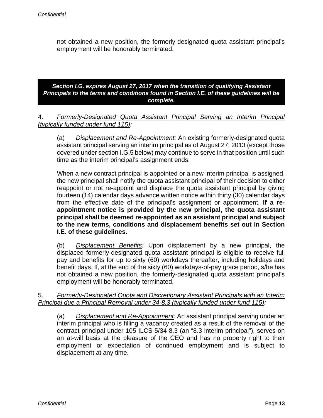not obtained a new position, the formerly-designated quota assistant principal's employment will be honorably terminated.

*Section I.G. expires August 27, 2017 when the transition of qualifying Assistant Principals to the terms and conditions found in Section I.E. of these guidelines will be complete.*

4. *Formerly-Designated Quota Assistant Principal Serving an Interim Principal (typically funded under fund 115):*

(a) *Displacement and Re-Appointment:* An existing formerly-designated quota assistant principal serving an interim principal as of August 27, 2013 (except those covered under section I.G.5 below) may continue to serve in that position until such time as the interim principal's assignment ends.

When a new contract principal is appointed or a new interim principal is assigned, the new principal shall notify the quota assistant principal of their decision to either reappoint or not re-appoint and displace the quota assistant principal by giving fourteen (14) calendar days advance written notice within thirty (30) calendar days from the effective date of the principal's assignment or appointment. **If a reappointment notice is provided by the new principal, the quota assistant principal shall be deemed re-appointed as an assistant principal and subject to the new terms, conditions and displacement benefits set out in Section I.E. of these guidelines.**

(b) *Displacement Benefits:* Upon displacement by a new principal, the displaced formerly-designated quota assistant principal is eligible to receive full pay and benefits for up to sixty (60) workdays thereafter, including holidays and benefit days. If, at the end of the sixty (60) workdays-of-pay grace period, s/he has not obtained a new position, the formerly-designated quota assistant principal's employment will be honorably terminated.

5. *Formerly-Designated Quota and Discretionary Assistant Principals with an Interim Principal due a Principal Removal under 34-8.3 (typically funded under fund 115):*

(a) *Displacement and Re-Appointment:* An assistant principal serving under an interim principal who is filling a vacancy created as a result of the removal of the contract principal under 105 ILCS 5/34-8.3 (an "8.3 interim principal"), serves on an at-will basis at the pleasure of the CEO and has no property right to their employment or expectation of continued employment and is subject to displacement at any time.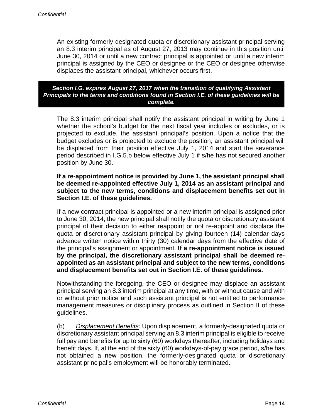An existing formerly-designated quota or discretionary assistant principal serving an 8.3 interim principal as of August 27, 2013 may continue in this position until June 30, 2014 or until a new contract principal is appointed or until a new interim principal is assigned by the CEO or designee or the CEO or designee otherwise displaces the assistant principal, whichever occurs first.

#### *Section I.G. expires August 27, 2017 when the transition of qualifying Assistant Principals to the terms and conditions found in Section I.E. of these guidelines will be complete.*

The 8.3 interim principal shall notify the assistant principal in writing by June 1 whether the school's budget for the next fiscal year includes or excludes, or is projected to exclude, the assistant principal's position. Upon a notice that the budget excludes or is projected to exclude the position, an assistant principal will be displaced from their position effective July 1, 2014 and start the severance period described in I.G.5.b below effective July 1 if s/he has not secured another position by June 30.

#### **If a re-appointment notice is provided by June 1, the assistant principal shall be deemed re-appointed effective July 1, 2014 as an assistant principal and subject to the new terms, conditions and displacement benefits set out in Section I.E. of these guidelines.**

If a new contract principal is appointed or a new interim principal is assigned prior to June 30, 2014, the new principal shall notify the quota or discretionary assistant principal of their decision to either reappoint or not re-appoint and displace the quota or discretionary assistant principal by giving fourteen (14) calendar days advance written notice within thirty (30) calendar days from the effective date of the principal's assignment or appointment. **If a re-appointment notice is issued by the principal, the discretionary assistant principal shall be deemed reappointed as an assistant principal and subject to the new terms, conditions and displacement benefits set out in Section I.E. of these guidelines.**

Notwithstanding the foregoing, the CEO or designee may displace an assistant principal serving an 8.3 interim principal at any time, with or without cause and with or without prior notice and such assistant principal is not entitled to performance management measures or disciplinary process as outlined in Section II of these guidelines.

(b) *Displacement Benefits:* Upon displacement, a formerly-designated quota or discretionary assistant principal serving an 8.3 interim principal is eligible to receive full pay and benefits for up to sixty (60) workdays thereafter, including holidays and benefit days. If, at the end of the sixty (60) workdays-of-pay grace period, s/he has not obtained a new position, the formerly-designated quota or discretionary assistant principal's employment will be honorably terminated.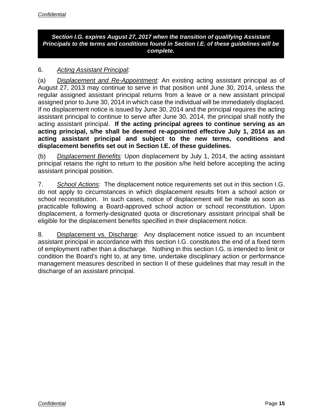#### *Section I.G. expires August 27, 2017 when the transition of qualifying Assistant Principals to the terms and conditions found in Section I.E. of these guidelines will be complete.*

#### 6. *Acting Assistant Principal:*

(a) *Displacement and Re-Appointment:* An existing acting assistant principal as of August 27, 2013 may continue to serve in that position until June 30, 2014, unless the regular assigned assistant principal returns from a leave or a new assistant principal assigned prior to June 30, 2014 in which case the individual will be immediately displaced. If no displacement notice is issued by June 30, 2014 and the principal requires the acting assistant principal to continue to serve after June 30, 2014, the principal shall notify the acting assistant principal. **If the acting principal agrees to continue serving as an acting principal, s/he shall be deemed re-appointed effective July 1, 2014 as an acting assistant principal and subject to the new terms, conditions and displacement benefits set out in Section I.E. of these guidelines.** 

(b) *Displacement Benefits:* Upon displacement by July 1, 2014, the acting assistant principal retains the right to return to the position s/he held before accepting the acting assistant principal position.

7. *School Actions*: The displacement notice requirements set out in this section I.G. do not apply to circumstances in which displacement results from a school action or school reconstitution. In such cases, notice of displacement will be made as soon as practicable following a Board-approved school action or school reconstitution. Upon displacement, a formerly-designated quota or discretionary assistant principal shall be eligible for the displacement benefits specified in their displacement notice.

8. Displacement vs. Discharge: Any displacement notice issued to an incumbent assistant principal in accordance with this section I.G. constitutes the end of a fixed term of employment rather than a discharge. Nothing in this section I.G. is intended to limit or condition the Board's right to, at any time, undertake disciplinary action or performance management measures described in section II of these guidelines that may result in the discharge of an assistant principal.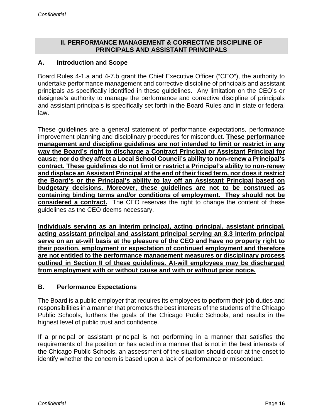#### **II. PERFORMANCE MANAGEMENT & CORRECTIVE DISCIPLINE OF PRINCIPALS AND ASSISTANT PRINCIPALS**

#### **A. Introduction and Scope**

Board Rules 4-1.a and 4-7.b grant the Chief Executive Officer ("CEO"), the authority to undertake performance management and corrective discipline of principals and assistant principals as specifically identified in these guidelines. Any limitation on the CEO's or designee's authority to manage the performance and corrective discipline of principals and assistant principals is specifically set forth in the Board Rules and in state or federal law.

These guidelines are a general statement of performance expectations, performance improvement planning and disciplinary procedures for misconduct. **These performance management and discipline guidelines are not intended to limit or restrict in any way the Board's right to discharge a Contract Principal or Assistant Principal for cause; nor do they affect a Local School Council's ability to non-renew a Principal's contract. These guidelines do not limit or restrict a Principal's ability to non-renew and displace an Assistant Principal at the end of their fixed term, nor does it restrict the Board's or the Principal's ability to lay off an Assistant Principal based on budgetary decisions. Moreover, these guidelines are not to be construed as containing binding terms and/or conditions of employment. They should not be considered a contract.** The CEO reserves the right to change the content of these guidelines as the CEO deems necessary.

**Individuals serving as an interim principal, acting principal, assistant principal, acting assistant principal and assistant principal serving an 8.3 interim principal serve on an at-will basis at the pleasure of the CEO and have no property right to their position, employment or expectation of continued employment and therefore are not entitled to the performance management measures or disciplinary process outlined in Section II of these guidelines. At-will employees may be discharged from employment with or without cause and with or without prior notice.** 

#### **B. Performance Expectations**

The Board is a public employer that requires its employees to perform their job duties and responsibilities in a manner that promotes the best interests of the students of the Chicago Public Schools, furthers the goals of the Chicago Public Schools, and results in the highest level of public trust and confidence.

If a principal or assistant principal is not performing in a manner that satisfies the requirements of the position or has acted in a manner that is not in the best interests of the Chicago Public Schools, an assessment of the situation should occur at the onset to identify whether the concern is based upon a lack of performance or misconduct.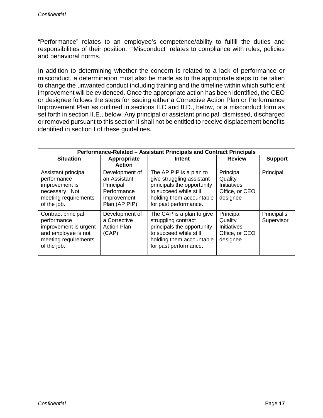"Performance" relates to an employee's competence/ability to fulfill the duties and responsibilities of their position. "Misconduct" relates to compliance with rules, policies and behavioral norms.

In addition to determining whether the concern is related to a lack of performance or misconduct, a determination must also be made as to the appropriate steps to be taken to change the unwanted conduct including training and the timeline within which sufficient improvement will be evidenced. Once the appropriate action has been identified, the CEO or designee follows the steps for issuing either a Corrective Action Plan or Performance Improvement Plan as outlined in sections II.C and II.D., below, or a misconduct form as set forth in section II.E., below. Any principal or assistant principal, dismissed, discharged or removed pursuant to this section II shall not be entitled to receive displacement benefits identified in section I of these guidelines.

| Performance-Related - Assistant Principals and Contract Principals                                                       |                                                                                            |                                                                                                                                                                   |                                                                          |                           |
|--------------------------------------------------------------------------------------------------------------------------|--------------------------------------------------------------------------------------------|-------------------------------------------------------------------------------------------------------------------------------------------------------------------|--------------------------------------------------------------------------|---------------------------|
| <b>Situation</b>                                                                                                         | Appropriate<br><b>Action</b>                                                               | Intent                                                                                                                                                            | <b>Review</b>                                                            | <b>Support</b>            |
| Assistant principal<br>performance<br>improvement is<br>necessary. Not<br>meeting requirements<br>of the job.            | Development of<br>an Assistant<br>Principal<br>Performance<br>Improvement<br>Plan (AP PIP) | The AP PIP is a plan to<br>give struggling assistant<br>principals the opportunity<br>to succeed while still<br>holding them accountable<br>for past performance. | Principal<br>Quality<br><b>Initiatives</b><br>Office, or CEO<br>designee | Principal                 |
| Contract principal<br>performance<br>improvement is urgent<br>and employee is not<br>meeting requirements<br>of the job. | Development of<br>a Corrective<br><b>Action Plan</b><br>(CAP)                              | The CAP is a plan to give<br>struggling contract<br>principals the opportunity<br>to succeed while still<br>holding them accountable<br>for past performance.     | Principal<br>Quality<br>Initiatives<br>Office, or CEO<br>designee        | Principal's<br>Supervisor |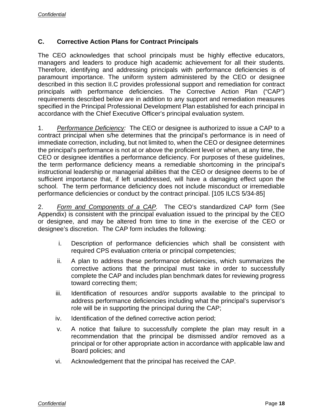#### **C. Corrective Action Plans for Contract Principals**

The CEO acknowledges that school principals must be highly effective educators, managers and leaders to produce high academic achievement for all their students. Therefore, identifying and addressing principals with performance deficiencies is of paramount importance. The uniform system administered by the CEO or designee described in this section II.C provides professional support and remediation for contract principals with performance deficiencies. The Corrective Action Plan ("CAP") requirements described below are in addition to any support and remediation measures specified in the Principal Professional Development Plan established for each principal in accordance with the Chief Executive Officer's principal evaluation system.

1. *Performance Deficiency:* The CEO or designee is authorized to issue a CAP to a contract principal when s/he determines that the principal's performance is in need of immediate correction, including, but not limited to, when the CEO or designee determines the principal's performance is not at or above the proficient level or when, at any time, the CEO or designee identifies a performance deficiency. For purposes of these guidelines, the term performance deficiency means a remediable shortcoming in the principal's instructional leadership or managerial abilities that the CEO or designee deems to be of sufficient importance that, if left unaddressed, will have a damaging effect upon the school. The term performance deficiency does not include misconduct or irremediable performance deficiencies or conduct by the contract principal. [105 ILCS 5/34-85]

2. *Form and Components of a CAP.* The CEO's standardized CAP form (See Appendix) is consistent with the principal evaluation issued to the principal by the CEO or designee, and may be altered from time to time in the exercise of the CEO or designee's discretion. The CAP form includes the following:

- i. Description of performance deficiencies which shall be consistent with required CPS evaluation criteria or principal competencies;
- ii. A plan to address these performance deficiencies, which summarizes the corrective actions that the principal must take in order to successfully complete the CAP and includes plan benchmark dates for reviewing progress toward correcting them;
- iii. Identification of resources and/or supports available to the principal to address performance deficiencies including what the principal's supervisor's role will be in supporting the principal during the CAP;
- iv. Identification of the defined corrective action period;
- v. A notice that failure to successfully complete the plan may result in a recommendation that the principal be dismissed and/or removed as a principal or for other appropriate action in accordance with applicable law and Board policies; and
- vi. Acknowledgement that the principal has received the CAP.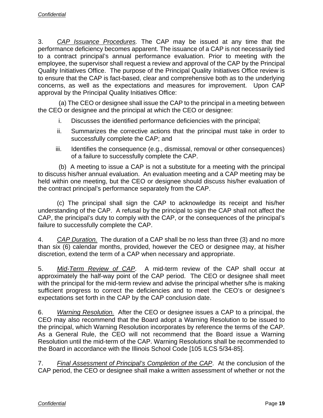3. *CAP Issuance Procedures.* The CAP may be issued at any time that the performance deficiency becomes apparent. The issuance of a CAP is not necessarily tied to a contract principal's annual performance evaluation. Prior to meeting with the employee, the supervisor shall request a review and approval of the CAP by the Principal Quality Initiatives Office. The purpose of the Principal Quality Initiatives Office review is to ensure that the CAP is fact-based, clear and comprehensive both as to the underlying concerns, as well as the expectations and measures for improvement. Upon CAP approval by the Principal Quality Initiatives Office:

 (a) The CEO or designee shall issue the CAP to the principal in a meeting between the CEO or designee and the principal at which the CEO or designee:

- i. Discusses the identified performance deficiencies with the principal;
- ii. Summarizes the corrective actions that the principal must take in order to successfully complete the CAP; and
- iii. Identifies the consequence (e.g., dismissal, removal or other consequences) of a failure to successfully complete the CAP.

 (b) A meeting to issue a CAP is not a substitute for a meeting with the principal to discuss his/her annual evaluation. An evaluation meeting and a CAP meeting may be held within one meeting, but the CEO or designee should discuss his/her evaluation of the contract principal's performance separately from the CAP.

(c) The principal shall sign the CAP to acknowledge its receipt and his/her understanding of the CAP. A refusal by the principal to sign the CAP shall not affect the CAP, the principal's duty to comply with the CAP, or the consequences of the principal's failure to successfully complete the CAP.

4. *CAP Duration.* The duration of a CAP shall be no less than three (3) and no more than six (6) calendar months, provided, however the CEO or designee may, at his/her discretion, extend the term of a CAP when necessary and appropriate.

5. *Mid-Term Review of CAP*. A mid-term review of the CAP shall occur at approximately the half-way point of the CAP period. The CEO or designee shall meet with the principal for the mid-term review and advise the principal whether s/he is making sufficient progress to correct the deficiencies and to meet the CEO's or designee's expectations set forth in the CAP by the CAP conclusion date.

6. *Warning Resolution.* After the CEO or designee issues a CAP to a principal, the CEO may also recommend that the Board adopt a Warning Resolution to be issued to the principal, which Warning Resolution incorporates by reference the terms of the CAP. As a General Rule, the CEO will not recommend that the Board issue a Warning Resolution until the mid-term of the CAP. Warning Resolutions shall be recommended to the Board in accordance with the Illinois School Code [105 ILCS 5/34-85].

7. *Final Assessment of Principal's Completion of the CAP*. At the conclusion of the CAP period, the CEO or designee shall make a written assessment of whether or not the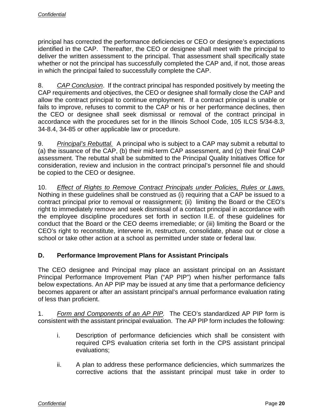principal has corrected the performance deficiencies or CEO or designee's expectations identified in the CAP. Thereafter, the CEO or designee shall meet with the principal to deliver the written assessment to the principal. That assessment shall specifically state whether or not the principal has successfully completed the CAP and, if not, those areas in which the principal failed to successfully complete the CAP.

8. *CAP Conclusion*. If the contract principal has responded positively by meeting the CAP requirements and objectives, the CEO or designee shall formally close the CAP and allow the contract principal to continue employment. If a contract principal is unable or fails to improve, refuses to commit to the CAP or his or her performance declines, then the CEO or designee shall seek dismissal or removal of the contract principal in accordance with the procedures set for in the Illinois School Code, 105 ILCS 5/34-8.3, 34-8.4, 34-85 or other applicable law or procedure.

9. *Principal's Rebuttal.* A principal who is subject to a CAP may submit a rebuttal to (a) the issuance of the CAP, (b) their mid-term CAP assessment, and (c) their final CAP assessment. The rebuttal shall be submitted to the Principal Quality Initiatives Office for consideration, review and inclusion in the contract principal's personnel file and should be copied to the CEO or designee.

10. *Effect of Rights to Remove Contract Principals under Policies, Rules or Laws.*  Nothing in these guidelines shall be construed as (i) requiring that a CAP be issued to a contract principal prior to removal or reassignment; (ii) limiting the Board or the CEO's right to immediately remove and seek dismissal of a contact principal in accordance with the employee discipline procedures set forth in section II.E. of these guidelines for conduct that the Board or the CEO deems irremediable; or (iii) limiting the Board or the CEO's right to reconstitute, intervene in, restructure, consolidate, phase out or close a school or take other action at a school as permitted under state or federal law.

#### **D. Performance Improvement Plans for Assistant Principals**

The CEO designee and Principal may place an assistant principal on an Assistant Principal Performance Improvement Plan ("AP PIP") when his/her performance falls below expectations. An AP PIP may be issued at any time that a performance deficiency becomes apparent or after an assistant principal's annual performance evaluation rating of less than proficient.

1. *Form and Components of an AP PIP.* The CEO's standardized AP PIP form is consistent with the assistant principal evaluation. The AP PIP form includes the following:

- i. Description of performance deficiencies which shall be consistent with required CPS evaluation criteria set forth in the CPS assistant principal evaluations;
- ii. A plan to address these performance deficiencies, which summarizes the corrective actions that the assistant principal must take in order to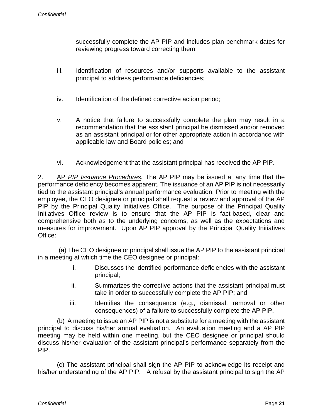successfully complete the AP PIP and includes plan benchmark dates for reviewing progress toward correcting them;

- iii. Identification of resources and/or supports available to the assistant principal to address performance deficiencies;
- iv. Identification of the defined corrective action period;
- v. A notice that failure to successfully complete the plan may result in a recommendation that the assistant principal be dismissed and/or removed as an assistant principal or for other appropriate action in accordance with applicable law and Board policies; and
- vi. Acknowledgement that the assistant principal has received the AP PIP.

2. AP *PIP Issuance Procedures.* The AP PIP may be issued at any time that the performance deficiency becomes apparent. The issuance of an AP PIP is not necessarily tied to the assistant principal's annual performance evaluation. Prior to meeting with the employee, the CEO designee or principal shall request a review and approval of the AP PIP by the Principal Quality Initiatives Office. The purpose of the Principal Quality Initiatives Office review is to ensure that the AP PIP is fact-based, clear and comprehensive both as to the underlying concerns, as well as the expectations and measures for improvement. Upon AP PIP approval by the Principal Quality Initiatives Office:

 (a) The CEO designee or principal shall issue the AP PIP to the assistant principal in a meeting at which time the CEO designee or principal:

- i. Discusses the identified performance deficiencies with the assistant principal;
- ii. Summarizes the corrective actions that the assistant principal must take in order to successfully complete the AP PIP; and
- iii. Identifies the consequence (e.g., dismissal, removal or other consequences) of a failure to successfully complete the AP PIP.

(b) A meeting to issue an AP PIP is not a substitute for a meeting with the assistant principal to discuss his/her annual evaluation. An evaluation meeting and a AP PIP meeting may be held within one meeting, but the CEO designee or principal should discuss his/her evaluation of the assistant principal's performance separately from the PIP.

(c) The assistant principal shall sign the AP PIP to acknowledge its receipt and his/her understanding of the AP PIP. A refusal by the assistant principal to sign the AP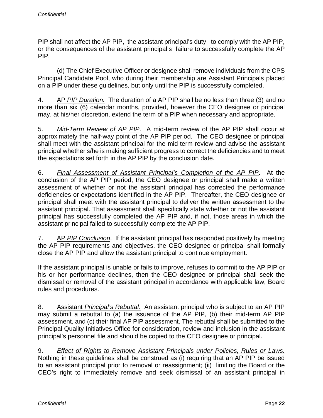PIP shall not affect the AP PIP, the assistant principal's duty to comply with the AP PIP, or the consequences of the assistant principal's failure to successfully complete the AP PIP.

(d) The Chief Executive Officer or designee shall remove individuals from the CPS Principal Candidate Pool, who during their membership are Assistant Principals placed on a PIP under these guidelines, but only until the PIP is successfully completed.

4. AP *PIP Duration.* The duration of a AP PIP shall be no less than three (3) and no more than six (6) calendar months, provided, however the CEO designee or principal may, at his/her discretion, extend the term of a PIP when necessary and appropriate.

5. *Mid-Term Review of AP PIP*. A mid-term review of the AP PIP shall occur at approximately the half-way point of the AP PIP period. The CEO designee or principal shall meet with the assistant principal for the mid-term review and advise the assistant principal whether s/he is making sufficient progress to correct the deficiencies and to meet the expectations set forth in the AP PIP by the conclusion date.

6. *Final Assessment of Assistant Principal's Completion of the AP PIP*. At the conclusion of the AP PIP period, the CEO designee or principal shall make a written assessment of whether or not the assistant principal has corrected the performance deficiencies or expectations identified in the AP PIP. Thereafter, the CEO designee or principal shall meet with the assistant principal to deliver the written assessment to the assistant principal. That assessment shall specifically state whether or not the assistant principal has successfully completed the AP PIP and, if not, those areas in which the assistant principal failed to successfully complete the AP PIP.

7. AP *PIP Conclusion*. If the assistant principal has responded positively by meeting the AP PIP requirements and objectives, the CEO designee or principal shall formally close the AP PIP and allow the assistant principal to continue employment.

If the assistant principal is unable or fails to improve, refuses to commit to the AP PIP or his or her performance declines, then the CEO designee or principal shall seek the dismissal or removal of the assistant principal in accordance with applicable law, Board rules and procedures.

8. Assistant *Principal's Rebuttal.* An assistant principal who is subject to an AP PIP may submit a rebuttal to (a) the issuance of the AP PIP, (b) their mid-term AP PIP assessment, and (c) their final AP PIP assessment. The rebuttal shall be submitted to the Principal Quality Initiatives Office for consideration, review and inclusion in the assistant principal's personnel file and should be copied to the CEO designee or principal.

9. *Effect of Rights to Remove Assistant Principals under Policies, Rules or Laws.*  Nothing in these guidelines shall be construed as (i) requiring that an AP PIP be issued to an assistant principal prior to removal or reassignment; (ii) limiting the Board or the CEO's right to immediately remove and seek dismissal of an assistant principal in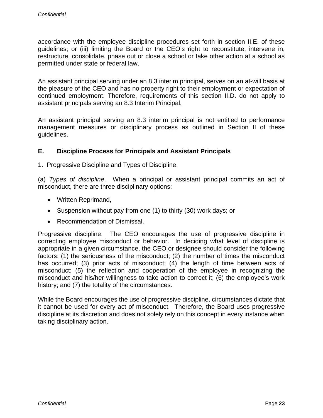accordance with the employee discipline procedures set forth in section II.E. of these guidelines; or (iii) limiting the Board or the CEO's right to reconstitute, intervene in, restructure, consolidate, phase out or close a school or take other action at a school as permitted under state or federal law.

An assistant principal serving under an 8.3 interim principal, serves on an at-will basis at the pleasure of the CEO and has no property right to their employment or expectation of continued employment. Therefore, requirements of this section II.D. do not apply to assistant principals serving an 8.3 Interim Principal.

An assistant principal serving an 8.3 interim principal is not entitled to performance management measures or disciplinary process as outlined in Section II of these guidelines.

#### **E. Discipline Process for Principals and Assistant Principals**

#### 1. Progressive Discipline and Types of Discipline.

(a) *Types of discipline*. When a principal or assistant principal commits an act of misconduct, there are three disciplinary options:

- Written Reprimand,
- Suspension without pay from one (1) to thirty (30) work days; or
- Recommendation of Dismissal.

Progressive discipline. The CEO encourages the use of progressive discipline in correcting employee misconduct or behavior. In deciding what level of discipline is appropriate in a given circumstance, the CEO or designee should consider the following factors: (1) the seriousness of the misconduct; (2) the number of times the misconduct has occurred; (3) prior acts of misconduct; (4) the length of time between acts of misconduct; (5) the reflection and cooperation of the employee in recognizing the misconduct and his/her willingness to take action to correct it; (6) the employee's work history; and (7) the totality of the circumstances.

While the Board encourages the use of progressive discipline, circumstances dictate that it cannot be used for every act of misconduct. Therefore, the Board uses progressive discipline at its discretion and does not solely rely on this concept in every instance when taking disciplinary action.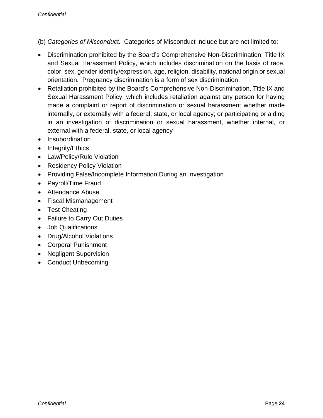(b) *Categories of Misconduct.* Categories of Misconduct include but are not limited to:

- Discrimination prohibited by the Board's Comprehensive Non-Discrimination, Title IX and Sexual Harassment Policy, which includes discrimination on the basis of race, color, sex, gender identity/expression, age, religion, disability, national origin or sexual orientation. Pregnancy discrimination is a form of sex discrimination.
- Retaliation prohibited by the Board's Comprehensive Non-Discrimination, Title IX and Sexual Harassment Policy, which includes retaliation against any person for having made a complaint or report of discrimination or sexual harassment whether made internally, or externally with a federal, state, or local agency; or participating or aiding in an investigation of discrimination or sexual harassment, whether internal, or external with a federal, state, or local agency
- Insubordination
- $\bullet$  Integrity/Ethics
- Law/Policy/Rule Violation
- Residency Policy Violation
- Providing False/Incomplete Information During an Investigation
- Payroll/Time Fraud
- Attendance Abuse
- Fiscal Mismanagement
- Test Cheating
- Failure to Carry Out Duties
- Job Qualifications
- Drug/Alcohol Violations
- Corporal Punishment
- Negligent Supervision
- Conduct Unbecoming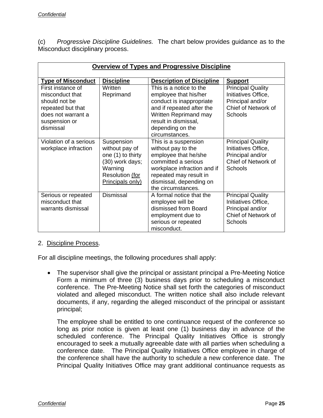(c) *Progressive Discipline Guidelines.* The chart below provides guidance as to the Misconduct disciplinary process.

| <b>Overview of Types and Progressive Discipline</b>                                                                            |                                                                                                                        |                                                                                                                                                                                                         |                                                                                                       |
|--------------------------------------------------------------------------------------------------------------------------------|------------------------------------------------------------------------------------------------------------------------|---------------------------------------------------------------------------------------------------------------------------------------------------------------------------------------------------------|-------------------------------------------------------------------------------------------------------|
| <b>Type of Misconduct</b>                                                                                                      | <b>Discipline</b>                                                                                                      | <b>Description of Discipline</b>                                                                                                                                                                        | <b>Support</b>                                                                                        |
| First instance of<br>misconduct that<br>should not be<br>repeated but that<br>does not warrant a<br>suspension or<br>dismissal | Written<br>Reprimand                                                                                                   | This is a notice to the<br>employee that his/her<br>conduct is inappropriate<br>and if repeated after the<br><b>Written Reprimand may</b><br>result in dismissal,<br>depending on the<br>circumstances. | <b>Principal Quality</b><br>Initiatives Office,<br>Principal and/or<br>Chief of Network of<br>Schools |
| Violation of a serious<br>workplace infraction                                                                                 | Suspension<br>without pay of<br>one (1) to thirty<br>(30) work days;<br>Warning<br>Resolution (for<br>Principals only) | This is a suspension<br>without pay to the<br>employee that he/she<br>committed a serious<br>workplace infraction and if<br>repeated may result in<br>dismissal, depending on<br>the circumstances.     | <b>Principal Quality</b><br>Initiatives Office,<br>Principal and/or<br>Chief of Network of<br>Schools |
| Serious or repeated<br>misconduct that<br>warrants dismissal                                                                   | <b>Dismissal</b>                                                                                                       | A formal notice that the<br>employee will be<br>dismissed from Board<br>employment due to<br>serious or repeated<br>misconduct.                                                                         | <b>Principal Quality</b><br>Initiatives Office,<br>Principal and/or<br>Chief of Network of<br>Schools |

#### 2. Discipline Process.

For all discipline meetings, the following procedures shall apply:

 The supervisor shall give the principal or assistant principal a Pre-Meeting Notice Form a minimum of three (3) business days prior to scheduling a misconduct conference. The Pre-Meeting Notice shall set forth the categories of misconduct violated and alleged misconduct. The written notice shall also include relevant documents, if any, regarding the alleged misconduct of the principal or assistant principal;

The employee shall be entitled to one continuance request of the conference so long as prior notice is given at least one (1) business day in advance of the scheduled conference. The Principal Quality Initiatives Office is strongly encouraged to seek a mutually agreeable date with all parties when scheduling a conference date. The Principal Quality Initiatives Office employee in charge of the conference shall have the authority to schedule a new conference date. The Principal Quality Initiatives Office may grant additional continuance requests as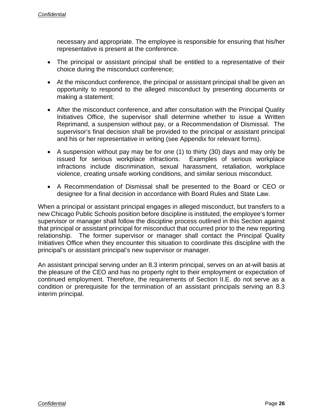necessary and appropriate. The employee is responsible for ensuring that his/her representative is present at the conference.

- The principal or assistant principal shall be entitled to a representative of their choice during the misconduct conference;
- At the misconduct conference, the principal or assistant principal shall be given an opportunity to respond to the alleged misconduct by presenting documents or making a statement;
- After the misconduct conference, and after consultation with the Principal Quality Initiatives Office, the supervisor shall determine whether to issue a Written Reprimand, a suspension without pay, or a Recommendation of Dismissal. The supervisor's final decision shall be provided to the principal or assistant principal and his or her representative in writing (see Appendix for relevant forms).
- A suspension without pay may be for one (1) to thirty (30) days and may only be issued for serious workplace infractions. Examples of serious workplace infractions include discrimination, sexual harassment, retaliation, workplace violence, creating unsafe working conditions, and similar serious misconduct.
- A Recommendation of Dismissal shall be presented to the Board or CEO or designee for a final decision in accordance with Board Rules and State Law.

When a principal or assistant principal engages in alleged misconduct, but transfers to a new Chicago Public Schools position before discipline is instituted, the employee's former supervisor or manager shall follow the discipline process outlined in this Section against that principal or assistant principal for misconduct that occurred prior to the new reporting relationship. The former supervisor or manager shall contact the Principal Quality Initiatives Office when they encounter this situation to coordinate this discipline with the principal's or assistant principal's new supervisor or manager.

An assistant principal serving under an 8.3 interim principal, serves on an at-will basis at the pleasure of the CEO and has no property right to their employment or expectation of continued employment. Therefore, the requirements of Section II.E. do not serve as a condition or prerequisite for the termination of an assistant principals serving an 8.3 interim principal.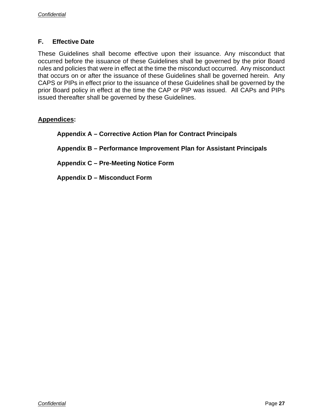#### **F. Effective Date**

These Guidelines shall become effective upon their issuance. Any misconduct that occurred before the issuance of these Guidelines shall be governed by the prior Board rules and policies that were in effect at the time the misconduct occurred. Any misconduct that occurs on or after the issuance of these Guidelines shall be governed herein. Any CAPS or PIPs in effect prior to the issuance of these Guidelines shall be governed by the prior Board policy in effect at the time the CAP or PIP was issued. All CAPs and PIPs issued thereafter shall be governed by these Guidelines.

#### **Appendices:**

**Appendix A – Corrective Action Plan for Contract Principals** 

**Appendix B – Performance Improvement Plan for Assistant Principals** 

**Appendix C – Pre-Meeting Notice Form** 

**Appendix D – Misconduct Form**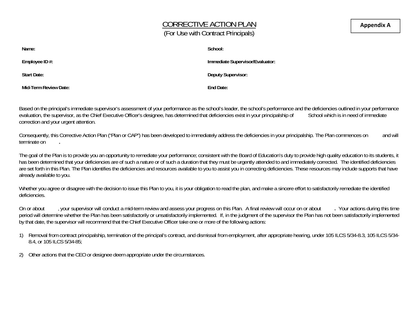## CORRECTIVE ACTION PLAN (For Use with Contract Principals)

| Name:                 | School:                         |
|-----------------------|---------------------------------|
| Employee ID #:        | Immediate Supervisor/Evaluator: |
| Start Date:           | <b>Deputy Supervisor:</b>       |
| Mid-Term Review Date: | End Date:                       |

Based on the principal's immediate supervisor's assessment of your performance as the school's leader, the school's performance and the deficiencies outlined in your performance evaluation, the supervisor, as the Chief Exe evaluation, the supervisor, as the Chief Executive Officer's designee, has determined that deficiencies exist in your principalship of correction and your urgent attention.

Consequently, this Corrective Action Plan ("Plan or CAP") has been developed to immediately address the deficiencies in your principalship. The Plan commences on and will terminate on **.** 

The goal of the Plan is to provide you an opportunity to remediate your performance; consistent with the Board of Education's duty to provide high quality education to its students, it has been determined that your deficiencies are of such a nature or of such a duration that they must be urgently attended to and immediately corrected. The identified deficiencies are set forth in this Plan. The Plan identifies the deficiencies and resources available to you to assist you in correcting deficiencies. These resources may include supports that have already available to you.

Whether you agree or disagree with the decision to issue this Plan to you, it is your obligation to read the plan, and make a sincere effort to satisfactorily remediate the identified deficiencies.

On or about , your supervisor will conduct a mid-term review and assess your progress on this Plan. A final review will occur on or about . Your actions during this time period will determine whether the Plan has been satisfactorily or unsatisfactorily implemented. If, in the judgment of the supervisor the Plan has not been satisfactorily implemented by that date, the supervisor will recommend that the Chief Executive Officer take one or more of the following actions:

- 1) Removal from contract principalship, termination of the principal's contract, and dismissal from employment, after appropriate hearing, under 105 ILCS 5/34-8.3, 105 ILCS 5/34- 8.4, or 105 ILCS 5/34-85;
- 2) Other actions that the CEO or designee deem appropriate under the circumstances.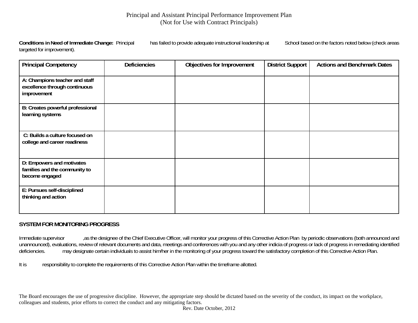#### Principal and Assistant Principal Performance Improvement Plan (Not for Use with Contract Principals)

**Conditions in Need of Immediate Change:** Principal has failed to provide adequate instructional leadership at School based on the factors noted below (check areas targeted for improvement).

| <b>Principal Competency</b>                                                    | <b>Deficiencies</b> | Objectives for Improvement | <b>District Support</b> | <b>Actions and Benchmark Dates</b> |
|--------------------------------------------------------------------------------|---------------------|----------------------------|-------------------------|------------------------------------|
| A: Champions teacher and staff<br>excellence through continuous<br>improvement |                     |                            |                         |                                    |
| B: Creates powerful professional<br>learning systems                           |                     |                            |                         |                                    |
| C: Builds a culture focused on<br>college and career readiness                 |                     |                            |                         |                                    |
| D: Empowers and motivates<br>families and the community to<br>become engaged   |                     |                            |                         |                                    |
| E: Pursues self-disciplined<br>thinking and action                             |                     |                            |                         |                                    |

#### **SYSTEM FOR MONITORING PROGRESS**

Immediate supervisor as the designee of the Chief Executive Officer, will monitor your progress of this Corrective Action Plan by periodic observations (both announced and unannounced), evaluations, review of relevant documents and data, meetings and conferences with you and any other indicia of progress or lack of progress in remediating identified deficiencies.<br>deficiencies. may designate may designate certain individuals to assist him/her in the monitoring of your progress toward the satisfactory completion of this Corrective Action Plan.

It is responsibility to complete the requirements of this Corrective Action Plan within the timeframe allotted.

The Board encourages the use of progressive discipline. However, the appropriate step should be dictated based on the severity of the conduct, its impact on the workplace, colleagues and students, prior efforts to correct the conduct and any mitigating factors.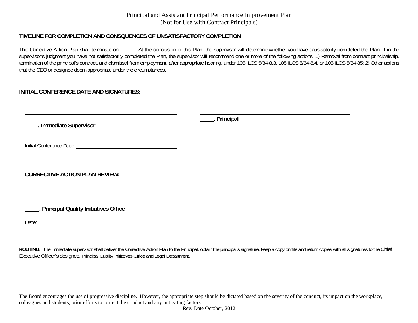#### Principal and Assistant Principal Performance Improvement Plan (Not for Use with Contract Principals)

#### **TIMELINE FOR COMPLETION AND CONSQUENCES OF UNSATISFACTORY COMPLETION**

This Corrective Action Plan shall terminate on . At the conclusion of this Plan, the supervisor will determine whether you have satisfactorily completed the Plan. If in the supervisor's judgment you have not satisfactorily completed the Plan, the supervisor will recommend one or more of the following actions: 1) Removal from contract principalship, termination of the principal's contract, and dismissal from employment, after appropriate hearing, under 105 ILCS 5/34-8.3, 105 ILCS 5/34-8.4, or 105 ILCS 5/34-85; 2) Other actions that the CEO or designee deem appropriate under the circumstances.

#### **INITIAL CONFERENCE DATE AND SIGNATURES:**

 **\_\_\_\_\_\_\_\_\_\_\_\_\_\_\_\_\_\_\_\_\_\_\_\_\_\_\_\_\_\_\_\_\_\_\_\_\_\_\_\_\_\_\_\_\_\_\_\_\_\_\_\_\_\_\_\_ , Immediate Supervisor**

**, Principal**

Initial Conference Date:

**CORRECTIVE ACTION PLAN REVIEW:**

**, Principal Quality Initiatives Office** 

Date:

ROUTING: The immediate supervisor shall deliver the Corrective Action Plan to the Principal, obtain the principal's signature, keep a copy on file and return copies with all signatures to the Chief Executive Officer's designee, Principal Quality Initiatives Office and Legal Department.

The Board encourages the use of progressive discipline. However, the appropriate step should be dictated based on the severity of the conduct, its impact on the workplace, colleagues and students, prior efforts to correct the conduct and any mitigating factors.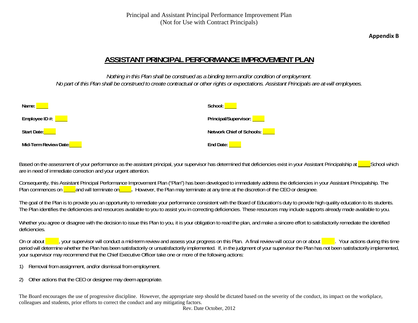**Appendix B**

## **ASSISTANT PRINCIPAL PERFORMANCE IMPROVEMENT PLAN**

*Nothing in this Plan shall be construed as a binding term and/or condition of employment. No part of this Plan shall be construed to create contractual or other rights or expectations. Assistant Principals are at-will employees.* 

| Name:                               | School:                     |
|-------------------------------------|-----------------------------|
| Employee ID #: $\sqrt{\phantom{a}}$ | Principal/Supervisor:       |
| Start Date:                         | Network Chief of Schools: [ |
| Mid-Term Review Date:               | End Date:                   |

Based on the assessment of your performance as the assistant principal, your supervisor has determined that deficiencies exist in your Assistant Principalship at School which are in need of immediate correction and your urgent attention.

Consequently, this Assistant Principal Performance Improvement Plan ("Plan") has been developed to immediately address the deficiencies in your Assistant Principalship. The Plan commences on <u>\_\_\_\_\_</u>and will terminate on<u>\_\_\_\_\_</u>. However, the Plan may terminate at any time at the discretion of the CEO or designee.

The goal of the Plan is to provide you an opportunity to remediate your performance consistent with the Board of Education's duty to provide high quality education to its students. The Plan identifies the deficiencies and resources available to you to assist you in correcting deficiencies. These resources may include supports already made available to you.

Whether you agree or disagree with the decision to issue this Plan to you, it is your obligation to read the plan, and make a sincere effort to satisfactorily remediate the identified deficiencies.

On or about a lay your supervisor will conduct a mid-term review and assess your progress on this Plan. A final review will occur on or about . Your actions during this time period will determine whether the Plan has been satisfactorily or unsatisfactorily implemented. If, in the judgment of your supervisor the Plan has not been satisfactorily implemented, your supervisor may recommend that the Chief Executive Officer take one or more of the following actions:

- 1) Removal from assignment, and/or dismissal from employment.
- 2) Other actions that the CEO or designee may deem appropriate.

The Board encourages the use of progressive discipline. However, the appropriate step should be dictated based on the severity of the conduct, its impact on the workplace, colleagues and students, prior efforts to correct the conduct and any mitigating factors.

Rev. Date October, 2012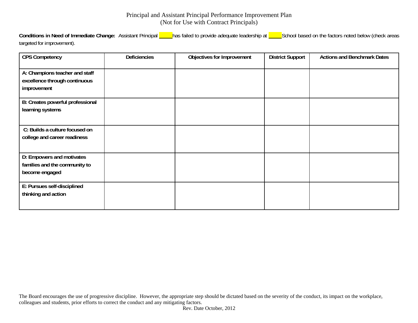#### Principal and Assistant Principal Performance Improvement Plan (Not for Use with Contract Principals)

Conditions in Need of Immediate Change: Assistant Principal **has failed to provide adequate leadership at School based on the factors noted below (check areas** targeted for improvement).

| <b>CPS Competency</b>                                                          | <b>Deficiencies</b> | Objectives for Improvement | <b>District Support</b> | <b>Actions and Benchmark Dates</b> |
|--------------------------------------------------------------------------------|---------------------|----------------------------|-------------------------|------------------------------------|
| A: Champions teacher and staff<br>excellence through continuous<br>improvement |                     |                            |                         |                                    |
| B: Creates powerful professional<br>learning systems                           |                     |                            |                         |                                    |
| C: Builds a culture focused on<br>college and career readiness                 |                     |                            |                         |                                    |
| D: Empowers and motivates<br>families and the community to<br>become engaged   |                     |                            |                         |                                    |
| E: Pursues self-disciplined<br>thinking and action                             |                     |                            |                         |                                    |

The Board encourages the use of progressive discipline. However, the appropriate step should be dictated based on the severity of the conduct, its impact on the workplace, colleagues and students, prior efforts to correct the conduct and any mitigating factors.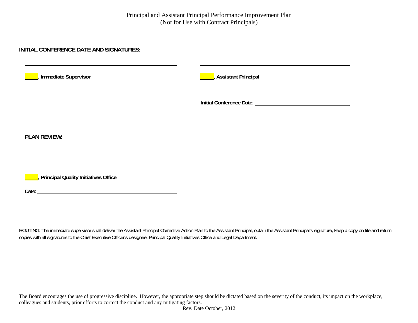#### **INITIAL CONFERENCE DATE AND SIGNATURES:**

| Immediate Supervisor                   | , Assistant Principal |
|----------------------------------------|-----------------------|
|                                        |                       |
| <b>PLAN REVIEW:</b>                    |                       |
| , Principal Quality Initiatives Office |                       |
| Date:                                  |                       |

ROUTING: The immediate supervisor shall deliver the Assistant Principal Corrective Action Plan to the Assistant Principal, obtain the Assistant Principal's signature, keep a copy on file and return copies with all signatures to the Chief Executive Officer's designee, Principal Quality Initiatives Office and Legal Department.

The Board encourages the use of progressive discipline. However, the appropriate step should be dictated based on the severity of the conduct, its impact on the workplace, colleagues and students, prior efforts to correct the conduct and any mitigating factors.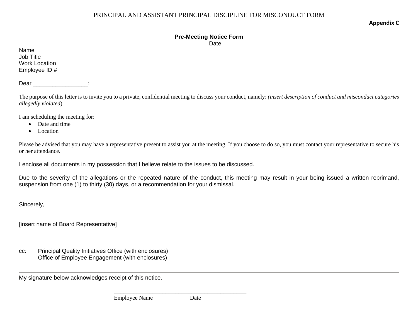**Appendix C**

## **Pre-Meeting Notice Form**

**Date** 

Name Job Title Work Location Employee ID #

Dear the control of the control of the control of the control of the control of the control of the control of the control of the control of the control of the control of the control of the control of the control of the con

 The purpose of this letter is to invite you to a private, confidential meeting to discuss your conduct, namely: *(insert description of conduct and misconduct categories allegedly violated*).

I am scheduling the meeting for:

- Date and time
- Location

Please be advised that you may have a representative present to assist you at the meeting. If you choose to do so, you must contact your representative to secure his or her attendance.

I enclose all documents in my possession that I believe relate to the issues to be discussed.

Due to the severity of the allegations or the repeated nature of the conduct, this meeting may result in your being issued a written reprimand, suspension from one (1) to thirty (30) days, or a recommendation for your dismissal.

Sincerely,

[insert name of Board Representative]

cc: Principal Quality Initiatives Office (with enclosures) Office of Employee Engagement (with enclosures)

My signature below acknowledges receipt of this notice.

 $\mathcal{L}_\mathcal{L}$  , and the contract of the contract of the contract of the contract of the contract of the contract of the contract of the contract of the contract of the contract of the contract of the contract of the cont